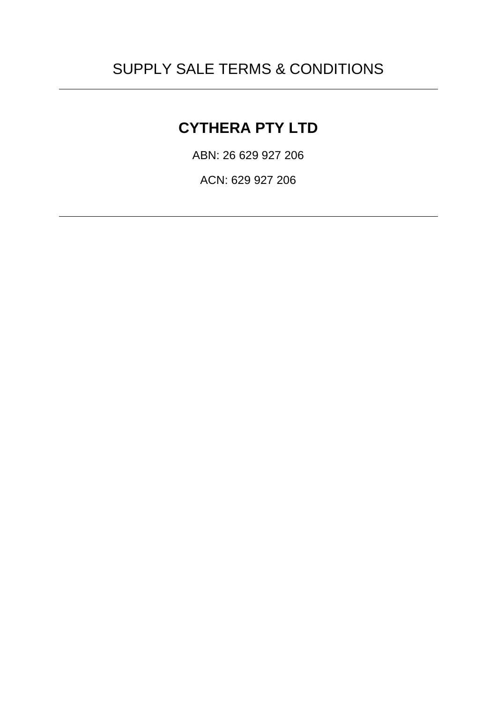# SUPPLY SALE TERMS & CONDITIONS

## **CYTHERA PTY LTD**

ABN: 26 629 927 206

ACN: 629 927 206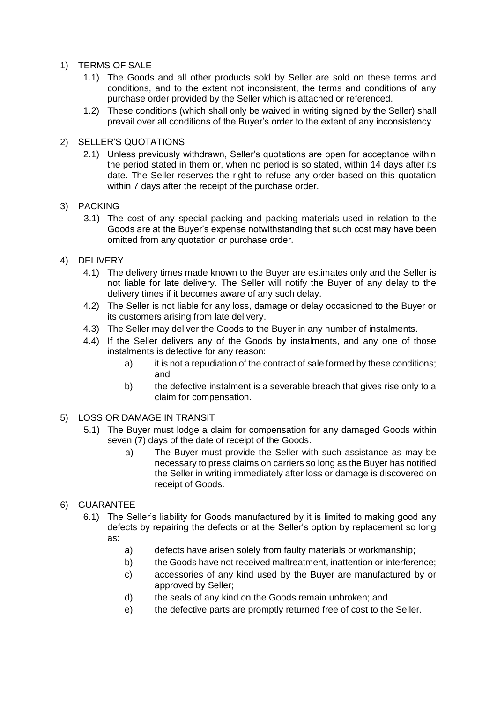- 1) TERMS OF SALE
	- 1.1) The Goods and all other products sold by Seller are sold on these terms and conditions, and to the extent not inconsistent, the terms and conditions of any purchase order provided by the Seller which is attached or referenced.
	- 1.2) These conditions (which shall only be waived in writing signed by the Seller) shall prevail over all conditions of the Buyer's order to the extent of any inconsistency.
- 2) SELLER'S QUOTATIONS
	- 2.1) Unless previously withdrawn, Seller's quotations are open for acceptance within the period stated in them or, when no period is so stated, within 14 days after its date. The Seller reserves the right to refuse any order based on this quotation within 7 days after the receipt of the purchase order.
- 3) PACKING
	- 3.1) The cost of any special packing and packing materials used in relation to the Goods are at the Buyer's expense notwithstanding that such cost may have been omitted from any quotation or purchase order.
- 4) DELIVERY
	- 4.1) The delivery times made known to the Buyer are estimates only and the Seller is not liable for late delivery. The Seller will notify the Buyer of any delay to the delivery times if it becomes aware of any such delay.
	- 4.2) The Seller is not liable for any loss, damage or delay occasioned to the Buyer or its customers arising from late delivery.
	- 4.3) The Seller may deliver the Goods to the Buyer in any number of instalments.
	- 4.4) If the Seller delivers any of the Goods by instalments, and any one of those instalments is defective for any reason:
		- a) it is not a repudiation of the contract of sale formed by these conditions; and
		- b) the defective instalment is a severable breach that gives rise only to a claim for compensation.
- 5) LOSS OR DAMAGE IN TRANSIT
	- 5.1) The Buyer must lodge a claim for compensation for any damaged Goods within seven (7) days of the date of receipt of the Goods.
		- a) The Buyer must provide the Seller with such assistance as may be necessary to press claims on carriers so long as the Buyer has notified the Seller in writing immediately after loss or damage is discovered on receipt of Goods.
- 6) GUARANTEE
	- 6.1) The Seller's liability for Goods manufactured by it is limited to making good any defects by repairing the defects or at the Seller's option by replacement so long as:
		- a) defects have arisen solely from faulty materials or workmanship;
		- b) the Goods have not received maltreatment, inattention or interference;
		- c) accessories of any kind used by the Buyer are manufactured by or approved by Seller;
		- d) the seals of any kind on the Goods remain unbroken; and
		- e) the defective parts are promptly returned free of cost to the Seller.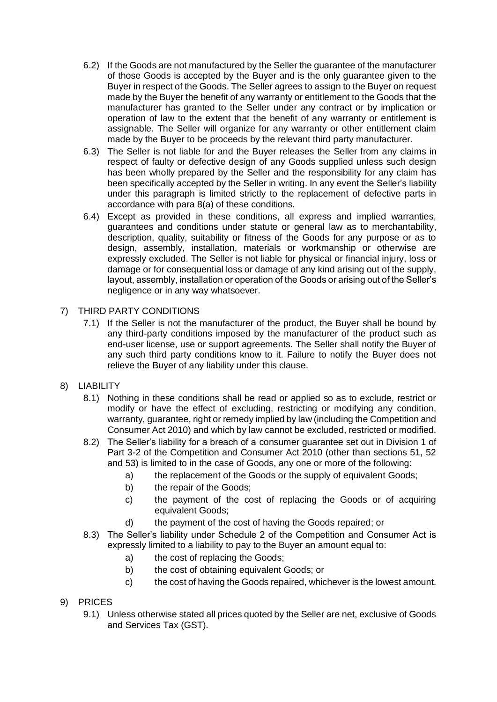- 6.2) If the Goods are not manufactured by the Seller the guarantee of the manufacturer of those Goods is accepted by the Buyer and is the only guarantee given to the Buyer in respect of the Goods. The Seller agrees to assign to the Buyer on request made by the Buyer the benefit of any warranty or entitlement to the Goods that the manufacturer has granted to the Seller under any contract or by implication or operation of law to the extent that the benefit of any warranty or entitlement is assignable. The Seller will organize for any warranty or other entitlement claim made by the Buyer to be proceeds by the relevant third party manufacturer.
- 6.3) The Seller is not liable for and the Buyer releases the Seller from any claims in respect of faulty or defective design of any Goods supplied unless such design has been wholly prepared by the Seller and the responsibility for any claim has been specifically accepted by the Seller in writing. In any event the Seller's liability under this paragraph is limited strictly to the replacement of defective parts in accordance with para 8(a) of these conditions.
- 6.4) Except as provided in these conditions, all express and implied warranties, guarantees and conditions under statute or general law as to merchantability, description, quality, suitability or fitness of the Goods for any purpose or as to design, assembly, installation, materials or workmanship or otherwise are expressly excluded. The Seller is not liable for physical or financial injury, loss or damage or for consequential loss or damage of any kind arising out of the supply, layout, assembly, installation or operation of the Goods or arising out of the Seller's negligence or in any way whatsoever.
- 7) THIRD PARTY CONDITIONS
	- 7.1) If the Seller is not the manufacturer of the product, the Buyer shall be bound by any third-party conditions imposed by the manufacturer of the product such as end-user license, use or support agreements. The Seller shall notify the Buyer of any such third party conditions know to it. Failure to notify the Buyer does not relieve the Buyer of any liability under this clause.
- 8) LIABILITY
	- 8.1) Nothing in these conditions shall be read or applied so as to exclude, restrict or modify or have the effect of excluding, restricting or modifying any condition, warranty, guarantee, right or remedy implied by law (including the Competition and Consumer Act 2010) and which by law cannot be excluded, restricted or modified.
	- 8.2) The Seller's liability for a breach of a consumer guarantee set out in Division 1 of Part 3-2 of the Competition and Consumer Act 2010 (other than sections 51, 52 and 53) is limited to in the case of Goods, any one or more of the following:
		- a) the replacement of the Goods or the supply of equivalent Goods:
		- b) the repair of the Goods;
		- c) the payment of the cost of replacing the Goods or of acquiring equivalent Goods;
		- d) the payment of the cost of having the Goods repaired; or
	- 8.3) The Seller's liability under Schedule 2 of the Competition and Consumer Act is expressly limited to a liability to pay to the Buyer an amount equal to:
		- a) the cost of replacing the Goods;
		- b) the cost of obtaining equivalent Goods; or
		- c) the cost of having the Goods repaired, whichever is the lowest amount.
- 9) PRICES
	- 9.1) Unless otherwise stated all prices quoted by the Seller are net, exclusive of Goods and Services Tax (GST).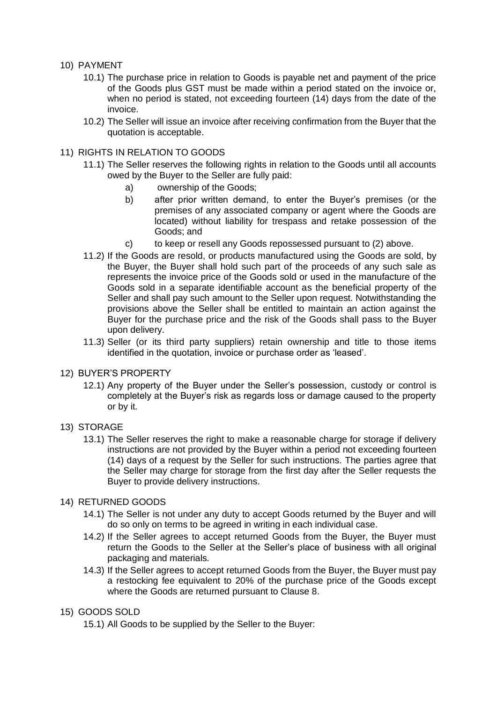## 10) PAYMENT

- 10.1) The purchase price in relation to Goods is payable net and payment of the price of the Goods plus GST must be made within a period stated on the invoice or, when no period is stated, not exceeding fourteen (14) days from the date of the invoice.
- 10.2) The Seller will issue an invoice after receiving confirmation from the Buyer that the quotation is acceptable.

## 11) RIGHTS IN RELATION TO GOODS

- 11.1) The Seller reserves the following rights in relation to the Goods until all accounts owed by the Buyer to the Seller are fully paid:
	- a) ownership of the Goods;
	- b) after prior written demand, to enter the Buyer's premises (or the premises of any associated company or agent where the Goods are located) without liability for trespass and retake possession of the Goods; and
	- c) to keep or resell any Goods repossessed pursuant to (2) above.
- 11.2) If the Goods are resold, or products manufactured using the Goods are sold, by the Buyer, the Buyer shall hold such part of the proceeds of any such sale as represents the invoice price of the Goods sold or used in the manufacture of the Goods sold in a separate identifiable account as the beneficial property of the Seller and shall pay such amount to the Seller upon request. Notwithstanding the provisions above the Seller shall be entitled to maintain an action against the Buyer for the purchase price and the risk of the Goods shall pass to the Buyer upon delivery.
- 11.3) Seller (or its third party suppliers) retain ownership and title to those items identified in the quotation, invoice or purchase order as 'leased'.

#### 12) BUYER'S PROPERTY

12.1) Any property of the Buyer under the Seller's possession, custody or control is completely at the Buyer's risk as regards loss or damage caused to the property or by it.

## 13) STORAGE

13.1) The Seller reserves the right to make a reasonable charge for storage if delivery instructions are not provided by the Buyer within a period not exceeding fourteen (14) days of a request by the Seller for such instructions. The parties agree that the Seller may charge for storage from the first day after the Seller requests the Buyer to provide delivery instructions.

## 14) RETURNED GOODS

- 14.1) The Seller is not under any duty to accept Goods returned by the Buyer and will do so only on terms to be agreed in writing in each individual case.
- 14.2) If the Seller agrees to accept returned Goods from the Buyer, the Buyer must return the Goods to the Seller at the Seller's place of business with all original packaging and materials.
- 14.3) If the Seller agrees to accept returned Goods from the Buyer, the Buyer must pay a restocking fee equivalent to 20% of the purchase price of the Goods except where the Goods are returned pursuant to Clause 8.

## 15) GOODS SOLD

15.1) All Goods to be supplied by the Seller to the Buyer: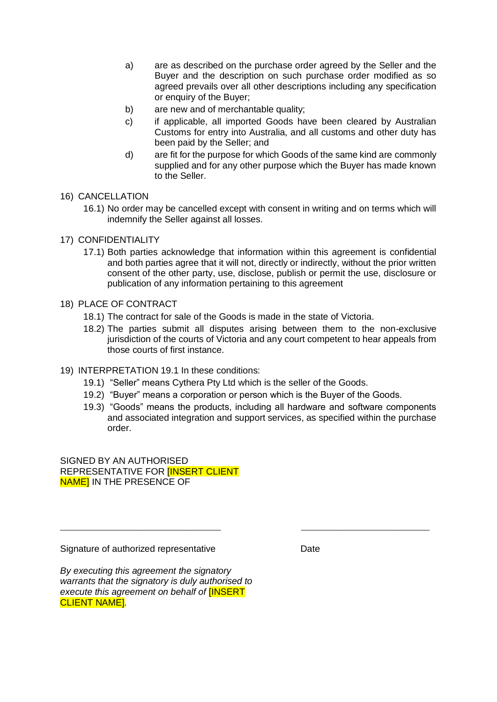- a) are as described on the purchase order agreed by the Seller and the Buyer and the description on such purchase order modified as so agreed prevails over all other descriptions including any specification or enquiry of the Buyer:
- b) are new and of merchantable quality;
- c) if applicable, all imported Goods have been cleared by Australian Customs for entry into Australia, and all customs and other duty has been paid by the Seller; and
- d) are fit for the purpose for which Goods of the same kind are commonly supplied and for any other purpose which the Buyer has made known to the Seller.
- 16) CANCELLATION
	- 16.1) No order may be cancelled except with consent in writing and on terms which will indemnify the Seller against all losses.
- 17) CONFIDENTIALITY
	- 17.1) Both parties acknowledge that information within this agreement is confidential and both parties agree that it will not, directly or indirectly, without the prior written consent of the other party, use, disclose, publish or permit the use, disclosure or publication of any information pertaining to this agreement
- 18) PLACE OF CONTRACT
	- 18.1) The contract for sale of the Goods is made in the state of Victoria.
	- 18.2) The parties submit all disputes arising between them to the non-exclusive jurisdiction of the courts of Victoria and any court competent to hear appeals from those courts of first instance.
- 19) INTERPRETATION 19.1 In these conditions:
	- 19.1) "Seller" means Cythera Pty Ltd which is the seller of the Goods.
	- 19.2) "Buyer" means a corporation or person which is the Buyer of the Goods.

\_\_\_\_\_\_\_\_\_\_\_\_\_\_\_\_\_\_\_\_\_\_\_\_\_\_\_\_\_\_\_\_\_\_\_ \_\_\_\_\_\_\_\_\_\_\_\_\_\_\_\_\_\_\_\_\_\_\_\_\_\_\_\_

19.3) "Goods" means the products, including all hardware and software components and associated integration and support services, as specified within the purchase order.

SIGNED BY AN AUTHORISED REPRESENTATIVE FOR [INSERT CLIENT **NAME] IN THE PRESENCE OF** 

Signature of authorized representative **Date** Date

*By executing this agreement the signatory warrants that the signatory is duly authorised to execute this agreement on behalf of* [INSERT CLIENT NAME]*.*